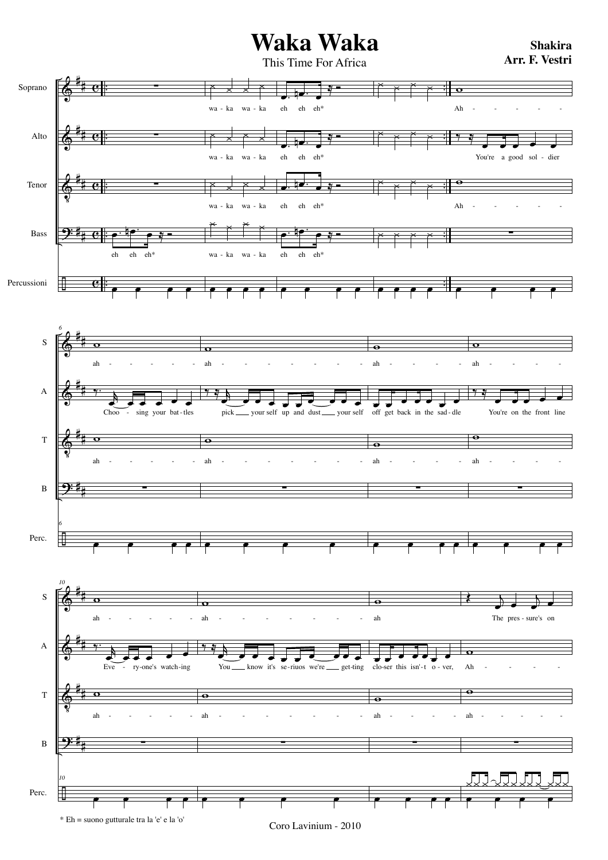**Shakira** Arr. F. Vestri

This Time For Africa

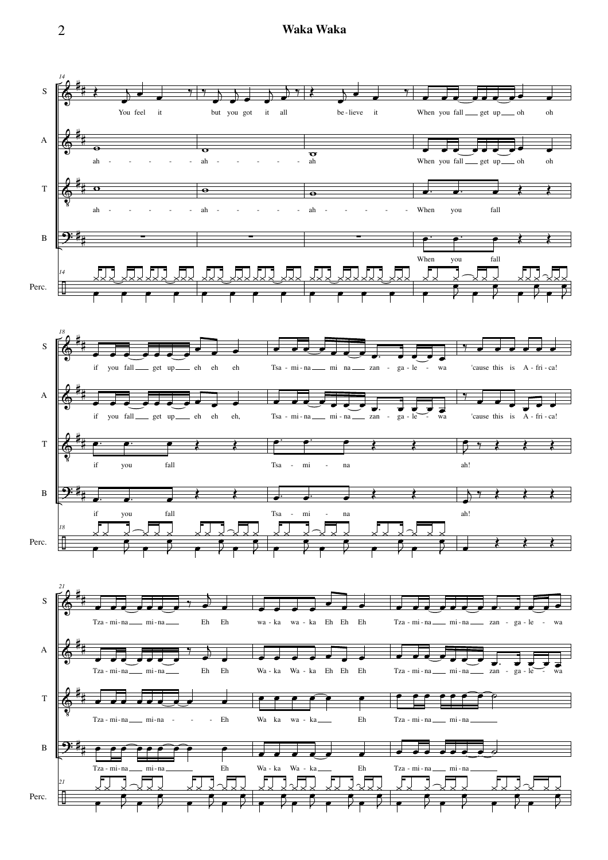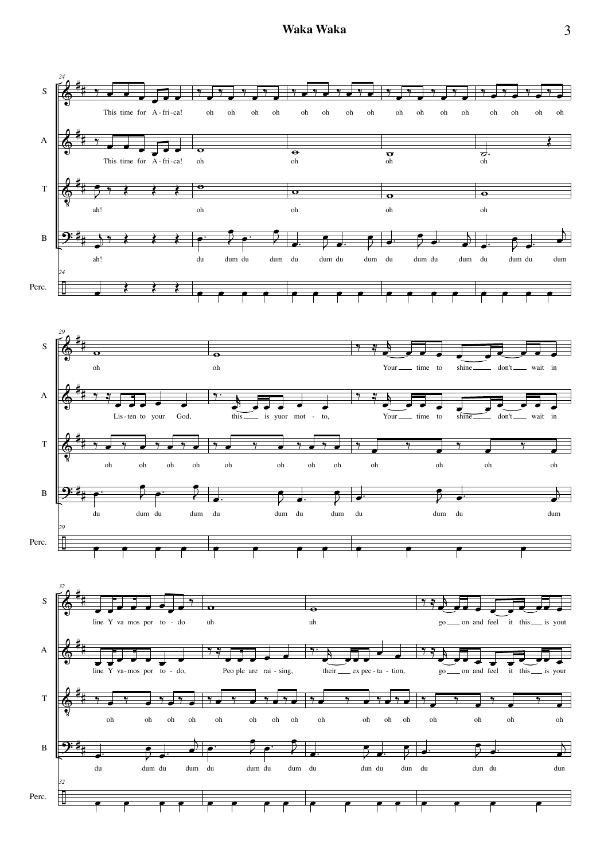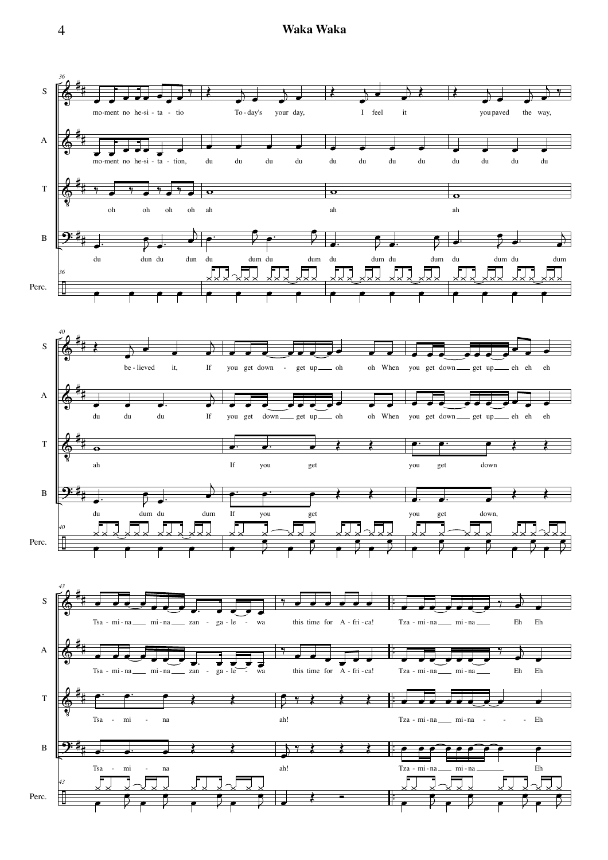Waka Waka

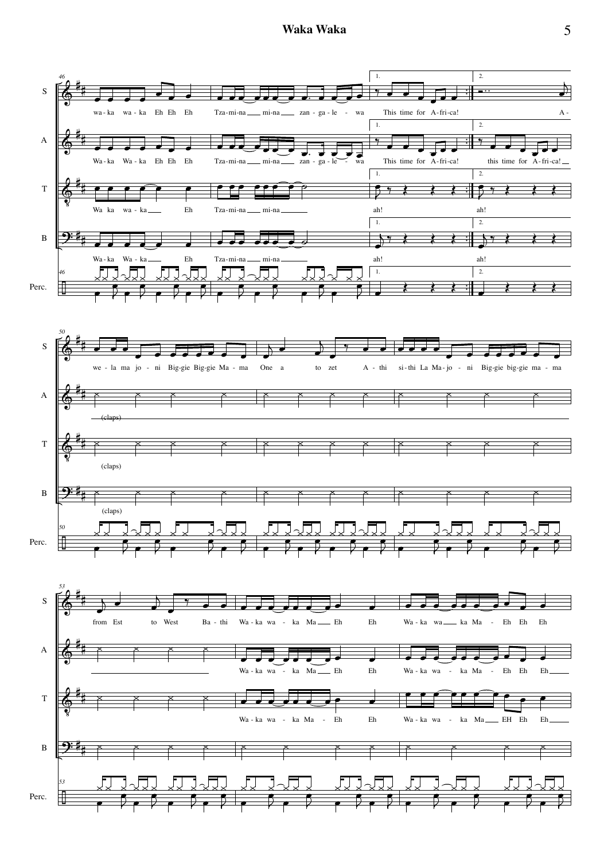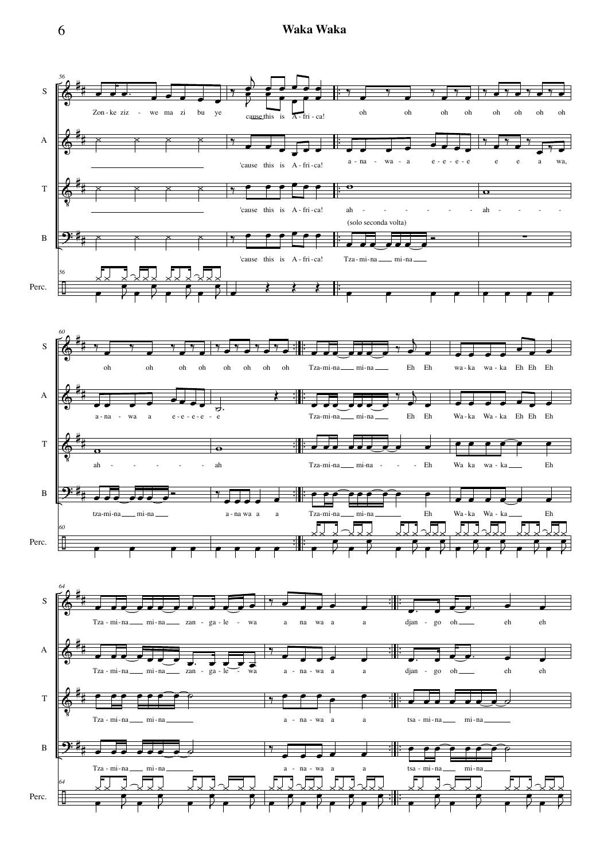